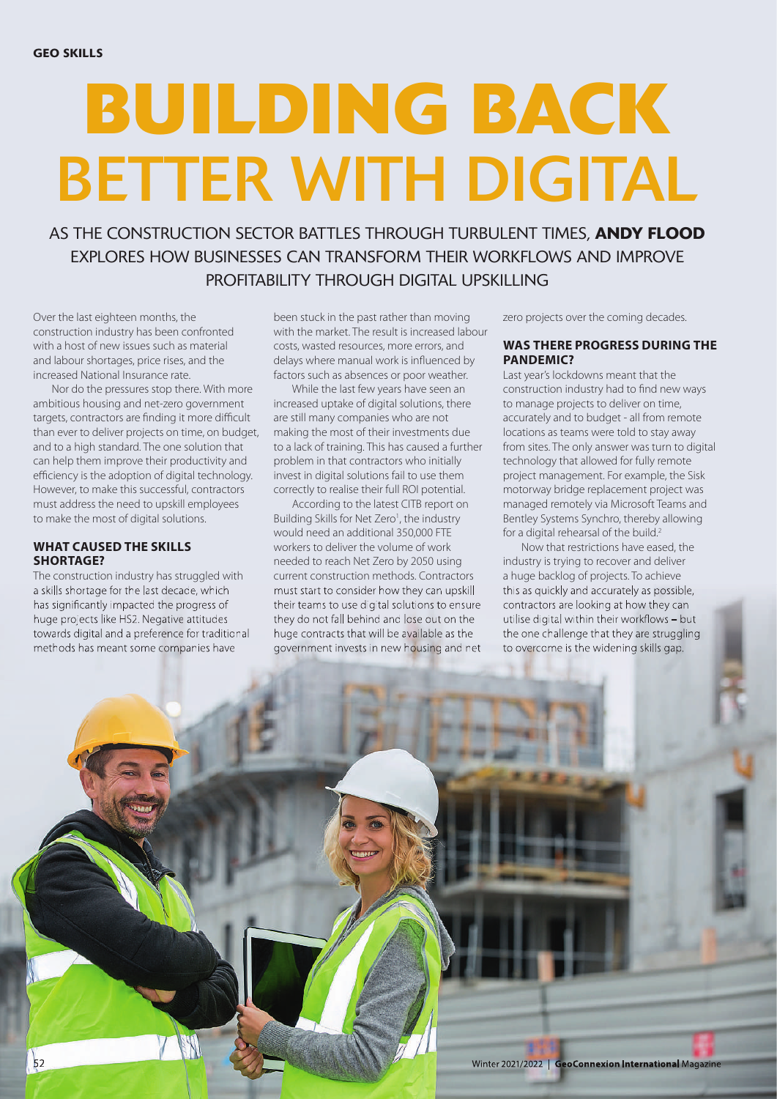# **BUILDING BACK** BETTER WITH DIGITAL

AS THE CONSTRUCTION SECTOR BATTLES THROUGH TURBULENT TIMES, **ANDY FLOOD** EXPLORES HOW BUSINESSES CAN TRANSFORM THEIR WORKELOWS AND IMPROVE PROFITABILITY THROUGH DIGITAL UPSKILLING

Over the last eighteen months, the construction industry has been confronted with a host of new issues such as material and labour shortages, price rises, and the increased National Insurance rate.

Nor do the pressures stop there. With more ambitious housing and net-zero government targets, contractors are finding it more difficult than ever to deliver projects on time, on budget, and to a high standard. The one solution that can help them improve their productivity and efficiency is the adoption of digital technology. However, to make this successful, contractors must address the need to upskill employees to make the most of digital solutions.

## **WHAT CAUSED THE SKILLS SHORTAGE?**

The construction industry has struggled with a skills shortage for the last decade, which has significantly impacted the progress of huge projects like HS2. Negative attitudes towards digital and a preference for traditional methods has meant some companies have

been stuck in the past rather than moving with the market. The result is increased labour costs, wasted resources, more errors, and delays where manual work is influenced by factors such as absences or poor weather.

While the last few years have seen an increased uptake of digital solutions, there are still many companies who are not making the most of their investments due to a lack of training. This has caused a further problem in that contractors who initially invest in digital solutions fail to use them correctly to realise their full ROI potential.

According to the latest CITB report on Building Skills for Net Zero<sup>1</sup>, the industry would need an additional 350,000 FTE workers to deliver the volume of work needed to reach Net Zero by 2050 using current construction methods. Contractors must start to consider how they can upskill their teams to use digital solutions to ensure they do not fall behind and lose out on the huge contracts that will be available as the government invests in new housing and net

zero projects over the coming decades.

# **WAS THERE PROGRESS DURING THE PANDEMIC?**

Last year's lockdowns meant that the construction industry had to find new ways to manage projects to deliver on time, accurately and to budget - all from remote locations as teams were told to stay away from sites. The only answer was turn to digital technology that allowed for fully remote project management. For example, the Sisk motorway bridge replacement project was managed remotely via Microsoft Teams and Bentley Systems Synchro, thereby allowing for a digital rehearsal of the build.<sup>2</sup>

Now that restrictions have eased, the industry is trying to recover and deliver a huge backlog of projects. To achieve this as quickly and accurately as possible, contractors are looking at how they can utilise digital within their workflows – but the one challenge that they are struggling to overcome is the widening skills gap.